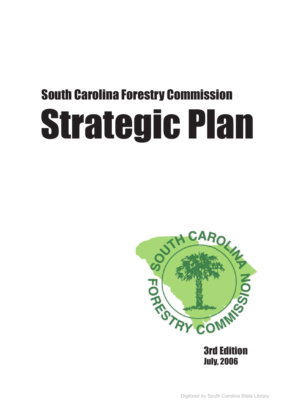# South Carolina Forestry Commission Strategic Plan



3rd Edition July, 2006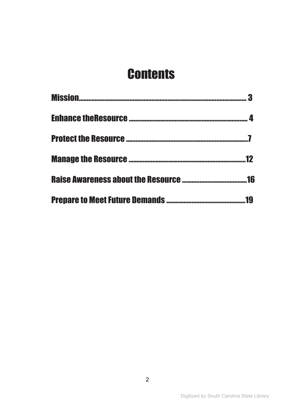### **Contents**

| $\blacksquare$ 12 |
|-------------------|
|                   |
|                   |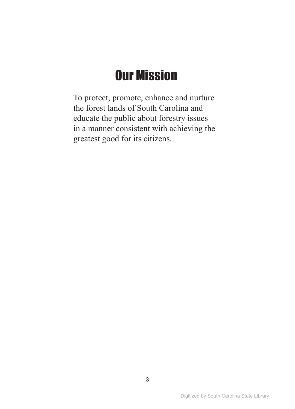### Our Mission

To protect, promote, enhance and nurture the forest lands of South Carolina and educate the public about forestry issues in a manner consistent with achieving the greatest good for its citizens.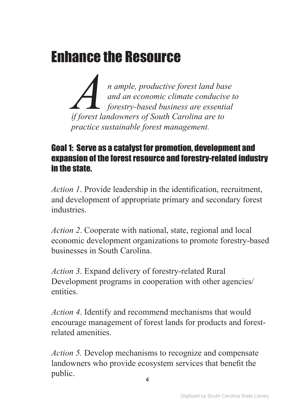### <span id="page-3-0"></span>Enhance the Resource

*A*<br>*An ample, productive forest land base*<br>*if forest landowners of South Carolina are to*<br>*if forest landowners of South Carolina are to and an economic climate conducive to forestry-based business are essential practice sustainable forest management.* 

#### Goal 1: Serve as a catalyst for promotion, development and expansion of the forest resource and forestry-related industry in the state.

*Action 1*. Provide leadership in the identification, recruitment, and development of appropriate primary and secondary forest industries.

*Action 2*. Cooperate with national, state, regional and local economic development organizations to promote forestry-based businesses in South Carolina.

*Action 3*. Expand delivery of forestry-related Rural Development programs in cooperation with other agencies/ entities.

*Action 4*. Identify and recommend mechanisms that would encourage management of forest lands for products and forestrelated amenities.

*Action 5.* Develop mechanisms to recognize and compensate landowners who provide ecosystem services that benefit the public.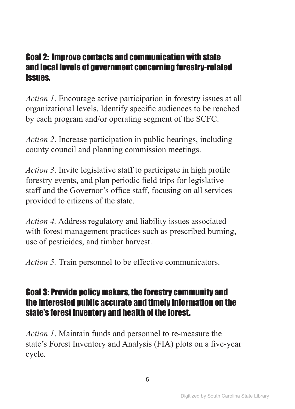#### Goal 2: Improve contacts and communication with state and local levels of government concerning forestry-related issues.

*Action 1*. Encourage active participation in forestry issues at all organizational levels. Identify specific audiences to be reached by each program and/or operating segment of the SCFC.

*Action 2*. Increase participation in public hearings, including county council and planning commission meetings.

*Action 3*. Invite legislative staff to participate in high profile forestry events, and plan periodic field trips for legislative staff and the Governor's office staff, focusing on all services provided to citizens of the state.

*Action 4.* Address regulatory and liability issues associated with forest management practices such as prescribed burning, use of pesticides, and timber harvest.

*Action 5.* Train personnel to be effective communicators.

#### Goal 3: Provide policy makers, the forestry community and the interested public accurate and timely information on the state's forest inventory and health of the forest.

*Action 1*. Maintain funds and personnel to re-measure the state's Forest Inventory and Analysis (FIA) plots on a five-year cycle.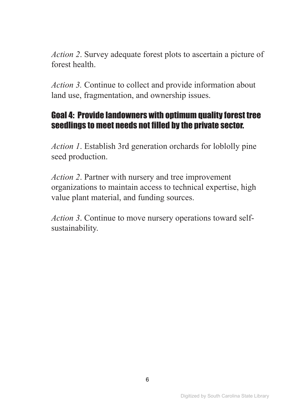*Action 2*. Survey adequate forest plots to ascertain a picture of forest health.

*Action 3.* Continue to collect and provide information about land use, fragmentation, and ownership issues.

#### Goal 4: Provide landowners with optimum quality forest tree seedlings to meet needs not filled by the private sector.

*Action 1*. Establish 3rd generation orchards for loblolly pine seed production.

*Action 2*. Partner with nursery and tree improvement organizations to maintain access to technical expertise, high value plant material, and funding sources.

*Action 3*. Continue to move nursery operations toward selfsustainability.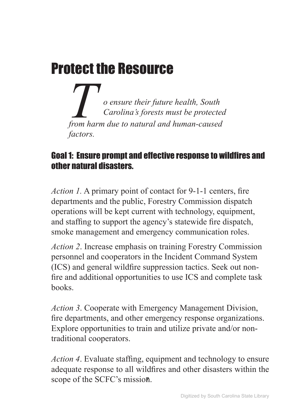### <span id="page-6-0"></span>Protect the Resource

*To ensure their future health, South Carolina's forests must be protected from harm due to natural and human-caused factors.* 

#### Goal 1: Ensure prompt and effective response to wildfires and other natural disasters.

*Action 1.* A primary point of contact for 9-1-1 centers, fire departments and the public, Forestry Commission dispatch operations will be kept current with technology, equipment, and staffing to support the agency's statewide fire dispatch, smoke management and emergency communication roles.

*Action 2*. Increase emphasis on training Forestry Commission personnel and cooperators in the Incident Command System (ICS) and general wildfire suppression tactics. Seek out nonfire and additional opportunities to use ICS and complete task books.

*Action 3*. Cooperate with Emergency Management Division, fire departments, and other emergency response organizations. Explore opportunities to train and utilize private and/or nontraditional cooperators.

*Action 4*. Evaluate staffing, equipment and technology to ensure adequate response to all wildfires and other disasters within the scope of the SCFC's mission.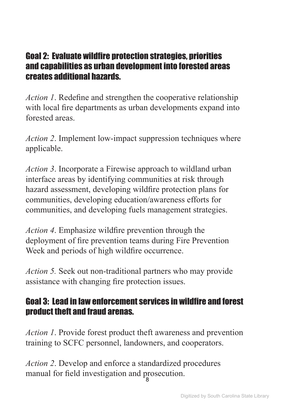#### Goal 2: Evaluate wildfire protection strategies, priorities and capabilities as urban development into forested areas creates additional hazards.

*Action 1*. Redefine and strengthen the cooperative relationship with local fire departments as urban developments expand into forested areas.

*Action 2*. Implement low-impact suppression techniques where applicable.

*Action 3*. Incorporate a Firewise approach to wildland urban interface areas by identifying communities at risk through hazard assessment, developing wildfire protection plans for communities, developing education/awareness efforts for communities, and developing fuels management strategies.

*Action 4*. Emphasize wildfire prevention through the deployment of fire prevention teams during Fire Prevention Week and periods of high wildfire occurrence.

*Action 5.* Seek out non-traditional partners who may provide assistance with changing fire protection issues.

#### Goal 3: Lead in law enforcement services in wildfire and forest product theft and fraud arenas.

*Action 1*. Provide forest product theft awareness and prevention training to SCFC personnel, landowners, and cooperators.

*Action 2*. Develop and enforce a standardized procedures manual for field investigation and prosecution. 8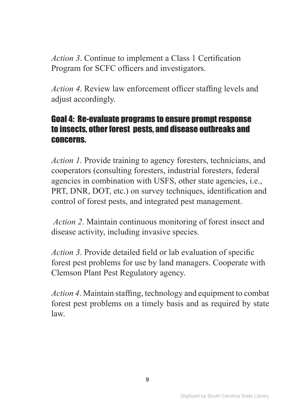*Action 3*. Continue to implement a Class 1 Certification Program for SCFC officers and investigators.

*Action 4*. Review law enforcement officer staffing levels and adjust accordingly.

#### Goal 4: Re-evaluate programs to ensure prompt response to insects, other forest pests, and disease outbreaks and concerns.

*Action 1*. Provide training to agency foresters, technicians, and cooperators (consulting foresters, industrial foresters, federal agencies in combination with USFS, other state agencies, i.e., PRT, DNR, DOT, etc.) on survey techniques, identification and control of forest pests, and integrated pest management.

*Action 2*. Maintain continuous monitoring of forest insect and disease activity, including invasive species.

*Action 3*. Provide detailed field or lab evaluation of specific forest pest problems for use by land managers. Cooperate with Clemson Plant Pest Regulatory agency.

*Action 4*. Maintain staffing, technology and equipment to combat forest pest problems on a timely basis and as required by state law.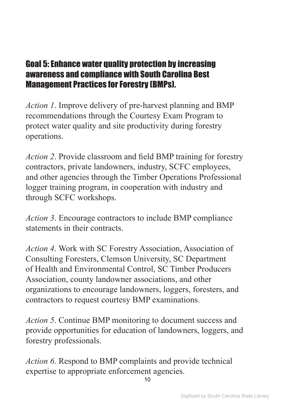#### Goal 5: Enhance water quality protection by increasing awareness and compliance with South Carolina Best Management Practices for Forestry (BMPs).

*Action 1*. Improve delivery of pre-harvest planning and BMP recommendations through the Courtesy Exam Program to protect water quality and site productivity during forestry operations.

*Action 2*. Provide classroom and field BMP training for forestry contractors, private landowners, industry, SCFC employees, and other agencies through the Timber Operations Professional logger training program, in cooperation with industry and through SCFC workshops.

*Action 3*. Encourage contractors to include BMP compliance statements in their contracts.

*Action 4*. Work with SC Forestry Association, Association of Consulting Foresters, Clemson University, SC Department of Health and Environmental Control, SC Timber Producers Association, county landowner associations, and other organizations to encourage landowners, loggers, foresters, and contractors to request courtesy BMP examinations.

*Action 5*. Continue BMP monitoring to document success and provide opportunities for education of landowners, loggers, and forestry professionals.

*Action 6*. Respond to BMP complaints and provide technical expertise to appropriate enforcement agencies.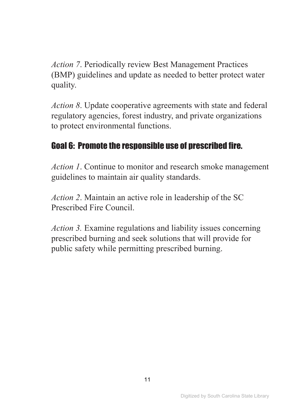*Action 7*. Periodically review Best Management Practices (BMP) guidelines and update as needed to better protect water quality.

*Action 8*. Update cooperative agreements with state and federal regulatory agencies, forest industry, and private organizations to protect environmental functions.

#### Goal 6: Promote the responsible use of prescribed fire.

*Action 1*. Continue to monitor and research smoke management guidelines to maintain air quality standards.

*Action 2*. Maintain an active role in leadership of the SC Prescribed Fire Council.

*Action 3.* Examine regulations and liability issues concerning prescribed burning and seek solutions that will provide for public safety while permitting prescribed burning.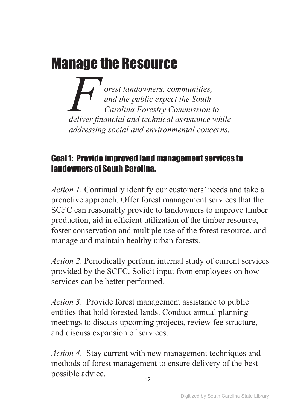## <span id="page-11-0"></span>Manage the Resource

*Forest landowners, communities,*<br>and the public expect the South<br>Carolina Forestry Commission the deliver financial and technical assistance v *and the public expect the South Carolina Forestry Commission to deliver financial and technical assistance while addressing social and environmental concerns.* 

#### Goal 1: Provide improved land management services to landowners of South Carolina.

*Action 1*. Continually identify our customers' needs and take a proactive approach. Offer forest management services that the SCFC can reasonably provide to landowners to improve timber production, aid in efficient utilization of the timber resource, foster conservation and multiple use of the forest resource, and manage and maintain healthy urban forests.

*Action 2*. Periodically perform internal study of current services provided by the SCFC. Solicit input from employees on how services can be better performed.

*Action 3*. Provide forest management assistance to public entities that hold forested lands. Conduct annual planning meetings to discuss upcoming projects, review fee structure, and discuss expansion of services.

*Action 4*. Stay current with new management techniques and methods of forest management to ensure delivery of the best possible advice.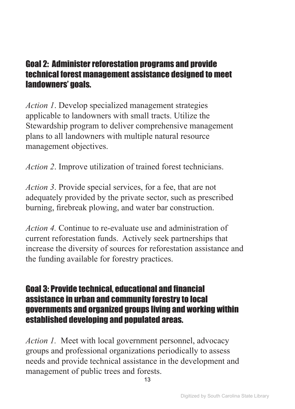#### Goal 2: Administer reforestation programs and provide technical forest management assistance designed to meet landowners' goals.

*Action 1*. Develop specialized management strategies applicable to landowners with small tracts. Utilize the Stewardship program to deliver comprehensive management plans to all landowners with multiple natural resource management objectives.

*Action 2*. Improve utilization of trained forest technicians.

*Action 3*. Provide special services, for a fee, that are not adequately provided by the private sector, such as prescribed burning, firebreak plowing, and water bar construction.

*Action 4.* Continue to re-evaluate use and administration of current reforestation funds. Actively seek partnerships that increase the diversity of sources for reforestation assistance and the funding available for forestry practices.

#### Goal 3: Provide technical, educational and financial assistance in urban and community forestry to local governments and organized groups living and working within established developing and populated areas.

*Action 1.* Meet with local government personnel, advocacy groups and professional organizations periodically to assess needs and provide technical assistance in the development and management of public trees and forests.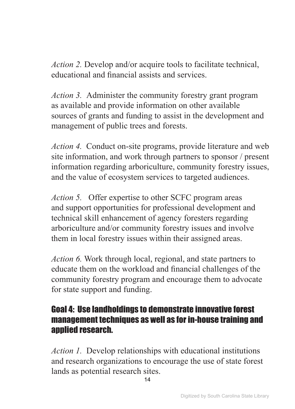*Action 2.* Develop and/or acquire tools to facilitate technical, educational and financial assists and services.

*Action 3.* Administer the community forestry grant program as available and provide information on other available sources of grants and funding to assist in the development and management of public trees and forests.

*Action 4.* Conduct on-site programs, provide literature and web site information, and work through partners to sponsor / present information regarding arboriculture, community forestry issues, and the value of ecosystem services to targeted audiences.

*Action 5.* Offer expertise to other SCFC program areas and support opportunities for professional development and technical skill enhancement of agency foresters regarding arboriculture and/or community forestry issues and involve them in local forestry issues within their assigned areas.

*Action 6.* Work through local, regional, and state partners to educate them on the workload and financial challenges of the community forestry program and encourage them to advocate for state support and funding.

#### Goal 4: Use landholdings to demonstrate innovative forest management techniques as well as for in-house training and annlied research.

*Action 1.* Develop relationships with educational institutions and research organizations to encourage the use of state forest lands as potential research sites.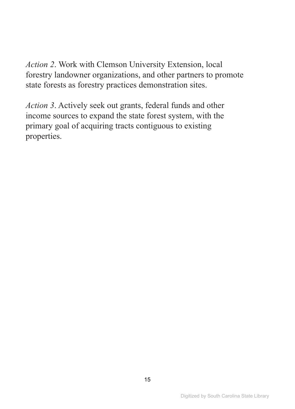*Action 2*. Work with Clemson University Extension, local forestry landowner organizations, and other partners to promote state forests as forestry practices demonstration sites.

*Action 3*. Actively seek out grants, federal funds and other income sources to expand the state forest system, with the primary goal of acquiring tracts contiguous to existing properties.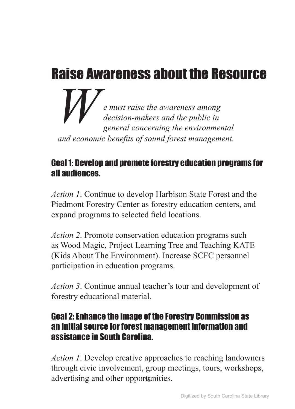### <span id="page-15-0"></span>Raise Awareness about the Resource

*We must raise the awareness among decision-makers and the public in general concerning the environmental and economic benefits of sound forest management.* 

#### Goal 1: Develop and promote forestry education programs for all audiences.

*Action 1*. Continue to develop Harbison State Forest and the Piedmont Forestry Center as forestry education centers, and expand programs to selected field locations.

*Action 2*. Promote conservation education programs such as Wood Magic, Project Learning Tree and Teaching KATE (Kids About The Environment). Increase SCFC personnel participation in education programs.

*Action 3*. Continue annual teacher's tour and development of forestry educational material.

#### Goal 2: Enhance the image of the Forestry Commission as an initial source for forest management information and assistance in South Carolina.

*Action 1*. Develop creative approaches to reaching landowners through civic involvement, group meetings, tours, workshops, advertising and other opportunities.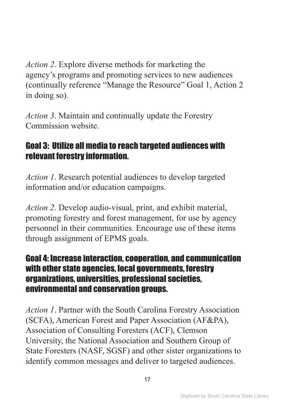*Action 2*. Explore diverse methods for marketing the agency's programs and promoting services to new audiences (continually reference "Manage the Resource" Goal 1, Action 2 in doing so).

*Action 3*. Maintain and continually update the Forestry Commission website.

#### Goal 3: Utilize all media to reach targeted audiences with relevant forestry information.

*Action 1*. Research potential audiences to develop targeted information and/or education campaigns.

*Action 2*. Develop audio-visual, print, and exhibit material, promoting forestry and forest management, for use by agency personnel in their communities. Encourage use of these items through assignment of EPMS goals.

#### Goal 4: Increase interaction, cooperation, and communication with other state agencies, local governments, forestry organizations, universities, professional societies, environmental and conservation groups.

*Action 1*. Partner with the South Carolina Forestry Association (SCFA), American Forest and Paper Association (AF&PA), Association of Consulting Foresters (ACF), Clemson University, the National Association and Southern Group of State Foresters (NASF, SGSF) and other sister organizations to identify common messages and deliver to targeted audiences.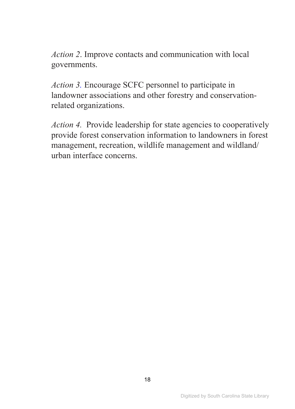*Action 2*. Improve contacts and communication with local governments.

*Action 3.* Encourage SCFC personnel to participate in landowner associations and other forestry and conservationrelated organizations.

*Action 4.* Provide leadership for state agencies to cooperatively provide forest conservation information to landowners in forest management, recreation, wildlife management and wildland/ urban interface concerns.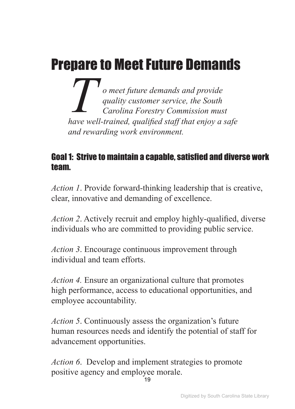# <span id="page-18-0"></span>Prepare to Meet Future Demands

*T o* meet future demands and provide<br>quality customer service, the South<br>Carolina Forestry Commission mus<br>have well-trained, aualified staff that eniov a *quality customer service, the South Carolina Forestry Commission must have well-trained, qualified staff that enjoy a safe and rewarding work environment.* 

#### Goal 1: Strive to maintain a capable, satisfied and diverse work team.

*Action 1*. Provide forward-thinking leadership that is creative, clear, innovative and demanding of excellence.

*Action 2*. Actively recruit and employ highly-qualified, diverse individuals who are committed to providing public service.

*Action 3*. Encourage continuous improvement through individual and team efforts.

*Action 4.* Ensure an organizational culture that promotes high performance, access to educational opportunities, and employee accountability.

*Action 5*. Continuously assess the organization's future human resources needs and identify the potential of staff for advancement opportunities.

*Action 6*. Develop and implement strategies to promote positive agency and employee morale.

19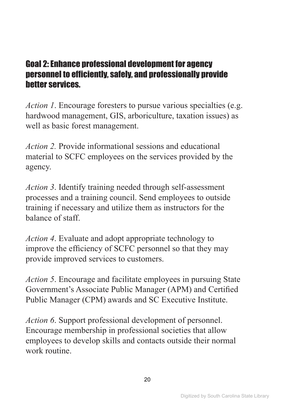#### Goal 2: Enhance professional development for agency personnel to efficiently, safely, and professionally provide better services.

*Action 1*. Encourage foresters to pursue various specialties (e.g. hardwood management, GIS, arboriculture, taxation issues) as well as basic forest management.

*Action 2.* Provide informational sessions and educational material to SCFC employees on the services provided by the agency.

*Action 3*. Identify training needed through self-assessment processes and a training council. Send employees to outside training if necessary and utilize them as instructors for the balance of staff.

*Action 4*. Evaluate and adopt appropriate technology to improve the efficiency of SCFC personnel so that they may provide improved services to customers.

*Action 5*. Encourage and facilitate employees in pursuing State Government's Associate Public Manager (APM) and Certified Public Manager (CPM) awards and SC Executive Institute.

*Action 6*. Support professional development of personnel. Encourage membership in professional societies that allow employees to develop skills and contacts outside their normal work routine.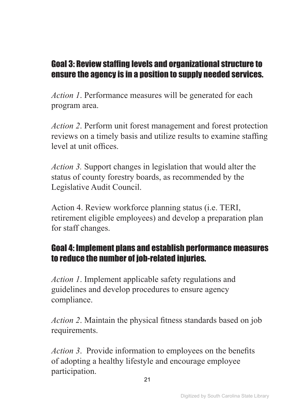#### Goal 3: Review staffing levels and organizational structure to ensure the agency is in a position to supply needed services.

*Action 1*. Performance measures will be generated for each program area.

*Action 2*. Perform unit forest management and forest protection reviews on a timely basis and utilize results to examine staffing level at unit offices.

*Action 3.* Support changes in legislation that would alter the status of county forestry boards, as recommended by the Legislative Audit Council.

Action 4. Review workforce planning status (i.e. TERI, retirement eligible employees) and develop a preparation plan for staff changes.

#### Goal 4: Implement plans and establish performance measures to reduce the number of job-related injuries.

*Action 1*. Implement applicable safety regulations and guidelines and develop procedures to ensure agency compliance.

*Action 2*. Maintain the physical fitness standards based on job requirements.

*Action 3*. Provide information to employees on the benefits of adopting a healthy lifestyle and encourage employee participation.